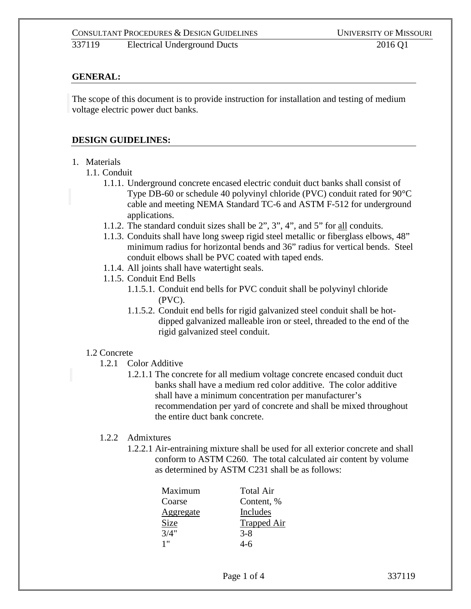## **GENERAL:**

The scope of this document is to provide instruction for installation and testing of medium voltage electric power duct banks.

#### **DESIGN GUIDELINES:**

#### 1. Materials

#### 1.1. Conduit

- 1.1.1. Underground concrete encased electric conduit duct banks shall consist of Type DB-60 or schedule 40 polyvinyl chloride (PVC) conduit rated for 90°C cable and meeting NEMA Standard TC-6 and ASTM F-512 for underground applications.
- 1.1.2. The standard conduit sizes shall be 2", 3", 4", and 5" for all conduits.
- 1.1.3. Conduits shall have long sweep rigid steel metallic or fiberglass elbows, 48" minimum radius for horizontal bends and 36" radius for vertical bends. Steel conduit elbows shall be PVC coated with taped ends.
- 1.1.4. All joints shall have watertight seals.
- 1.1.5. Conduit End Bells
	- 1.1.5.1. Conduit end bells for PVC conduit shall be polyvinyl chloride (PVC).
	- 1.1.5.2. Conduit end bells for rigid galvanized steel conduit shall be hotdipped galvanized malleable iron or steel, threaded to the end of the rigid galvanized steel conduit.

#### 1.2 Concrete

- 1.2.1 Color Additive
	- 1.2.1.1 The concrete for all medium voltage concrete encased conduit duct banks shall have a medium red color additive. The color additive shall have a minimum concentration per manufacturer's recommendation per yard of concrete and shall be mixed throughout the entire duct bank concrete.

#### 1.2.2 Admixtures

1.2.2.1 Air-entraining mixture shall be used for all exterior concrete and shall conform to ASTM C260. The total calculated air content by volume as determined by ASTM C231 shall be as follows:

| Maximum          | <b>Total Air</b>   |
|------------------|--------------------|
| Coarse           | Content, %         |
| <u>Aggregate</u> | Includes           |
| Size             | <b>Trapped Air</b> |
| 3/4"             | $3 - 8$            |
| 1"               | 4-6                |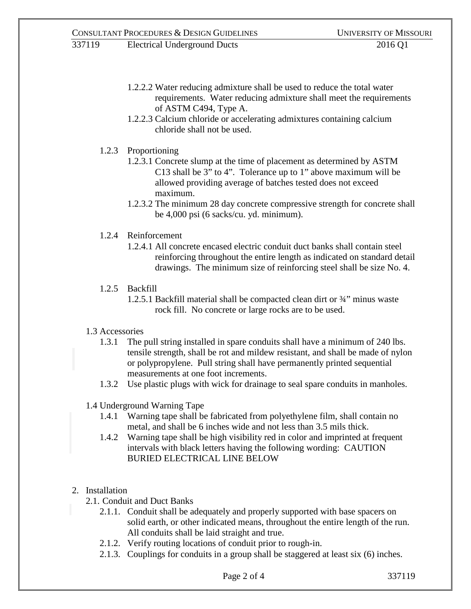- 1.2.2.2 Water reducing admixture shall be used to reduce the total water requirements. Water reducing admixture shall meet the requirements of ASTM C494, Type A.
- 1.2.2.3 Calcium chloride or accelerating admixtures containing calcium chloride shall not be used.
- 1.2.3 Proportioning
	- 1.2.3.1 Concrete slump at the time of placement as determined by ASTM C13 shall be 3" to 4". Tolerance up to 1" above maximum will be allowed providing average of batches tested does not exceed maximum.
	- 1.2.3.2 The minimum 28 day concrete compressive strength for concrete shall be 4,000 psi (6 sacks/cu. yd. minimum).
- 1.2.4 Reinforcement
	- 1.2.4.1 All concrete encased electric conduit duct banks shall contain steel reinforcing throughout the entire length as indicated on standard detail drawings. The minimum size of reinforcing steel shall be size No. 4.
- 1.2.5 Backfill
	- 1.2.5.1 Backfill material shall be compacted clean dirt or ¾" minus waste rock fill. No concrete or large rocks are to be used.
- 1.3 Accessories
	- 1.3.1 The pull string installed in spare conduits shall have a minimum of 240 lbs. tensile strength, shall be rot and mildew resistant, and shall be made of nylon or polypropylene. Pull string shall have permanently printed sequential measurements at one foot increments.
	- 1.3.2 Use plastic plugs with wick for drainage to seal spare conduits in manholes.
- 1.4 Underground Warning Tape
	- 1.4.1 Warning tape shall be fabricated from polyethylene film, shall contain no metal, and shall be 6 inches wide and not less than 3.5 mils thick.
	- 1.4.2 Warning tape shall be high visibility red in color and imprinted at frequent intervals with black letters having the following wording: CAUTION BURIED ELECTRICAL LINE BELOW

# 2. Installation

- 2.1. Conduit and Duct Banks
	- 2.1.1. Conduit shall be adequately and properly supported with base spacers on solid earth, or other indicated means, throughout the entire length of the run. All conduits shall be laid straight and true.
	- 2.1.2. Verify routing locations of conduit prior to rough-in.
	- 2.1.3. Couplings for conduits in a group shall be staggered at least six (6) inches.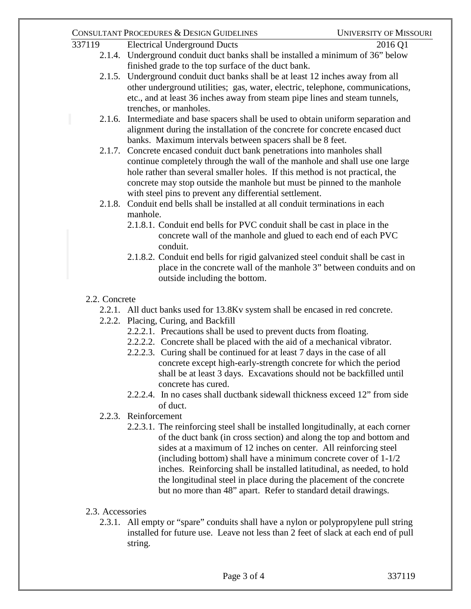## CONSULTANT PROCEDURES & DESIGN GUIDELINES UNIVERSITY OF MISSOURI

- 337119 Electrical Underground Ducts 2016 Q1 2.1.4. Underground conduit duct banks shall be installed a minimum of 36" below finished grade to the top surface of the duct bank.
	- 2.1.5. Underground conduit duct banks shall be at least 12 inches away from all other underground utilities; gas, water, electric, telephone, communications, etc., and at least 36 inches away from steam pipe lines and steam tunnels, trenches, or manholes.
	- 2.1.6. Intermediate and base spacers shall be used to obtain uniform separation and alignment during the installation of the concrete for concrete encased duct banks. Maximum intervals between spacers shall be 8 feet.
	- 2.1.7. Concrete encased conduit duct bank penetrations into manholes shall continue completely through the wall of the manhole and shall use one large hole rather than several smaller holes. If this method is not practical, the concrete may stop outside the manhole but must be pinned to the manhole with steel pins to prevent any differential settlement.
	- 2.1.8. Conduit end bells shall be installed at all conduit terminations in each manhole.
		- 2.1.8.1. Conduit end bells for PVC conduit shall be cast in place in the concrete wall of the manhole and glued to each end of each PVC conduit.
		- 2.1.8.2. Conduit end bells for rigid galvanized steel conduit shall be cast in place in the concrete wall of the manhole 3" between conduits and on outside including the bottom.
	- 2.2. Concrete
		- 2.2.1. All duct banks used for 13.8Kv system shall be encased in red concrete.
		- 2.2.2. Placing, Curing, and Backfill
			- 2.2.2.1. Precautions shall be used to prevent ducts from floating.
			- 2.2.2.2. Concrete shall be placed with the aid of a mechanical vibrator.
			- 2.2.2.3. Curing shall be continued for at least 7 days in the case of all concrete except high-early-strength concrete for which the period shall be at least 3 days. Excavations should not be backfilled until concrete has cured.
			- 2.2.2.4. In no cases shall ductbank sidewall thickness exceed 12" from side of duct.
		- 2.2.3. Reinforcement
			- 2.2.3.1. The reinforcing steel shall be installed longitudinally, at each corner of the duct bank (in cross section) and along the top and bottom and sides at a maximum of 12 inches on center. All reinforcing steel (including bottom) shall have a minimum concrete cover of 1-1/2 inches. Reinforcing shall be installed latitudinal, as needed, to hold the longitudinal steel in place during the placement of the concrete but no more than 48" apart. Refer to standard detail drawings.
	- 2.3. Accessories
		- 2.3.1. All empty or "spare" conduits shall have a nylon or polypropylene pull string installed for future use. Leave not less than 2 feet of slack at each end of pull string.